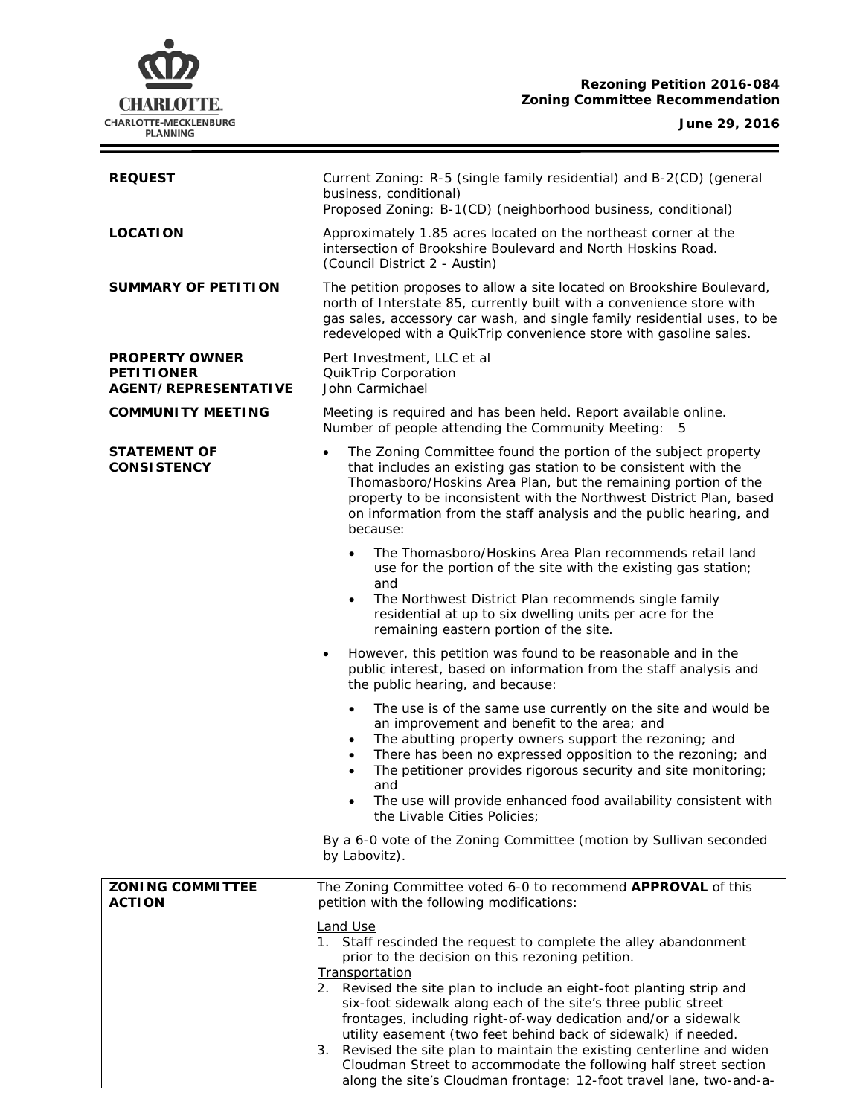# **CHARLOTTE.** CHARLOTTE-MECKLENBURG<br>PLANNING

# **Rezoning Petition 2016-084 Zoning Committee Recommendation**

# **June 29, 2016**

 $\equiv$ 

| <b>REQUEST</b>                                                            | Current Zoning: R-5 (single family residential) and B-2(CD) (general<br>business, conditional)<br>Proposed Zoning: B-1(CD) (neighborhood business, conditional)                                                                                                                                                                                                                                                                                                                                                                                                                                                                                                        |  |  |
|---------------------------------------------------------------------------|------------------------------------------------------------------------------------------------------------------------------------------------------------------------------------------------------------------------------------------------------------------------------------------------------------------------------------------------------------------------------------------------------------------------------------------------------------------------------------------------------------------------------------------------------------------------------------------------------------------------------------------------------------------------|--|--|
| <b>LOCATION</b>                                                           | Approximately 1.85 acres located on the northeast corner at the<br>intersection of Brookshire Boulevard and North Hoskins Road.<br>(Council District 2 - Austin)                                                                                                                                                                                                                                                                                                                                                                                                                                                                                                       |  |  |
| SUMMARY OF PETITION                                                       | The petition proposes to allow a site located on Brookshire Boulevard,<br>north of Interstate 85, currently built with a convenience store with<br>gas sales, accessory car wash, and single family residential uses, to be<br>redeveloped with a QuikTrip convenience store with gasoline sales.                                                                                                                                                                                                                                                                                                                                                                      |  |  |
| <b>PROPERTY OWNER</b><br><b>PETITIONER</b><br><b>AGENT/REPRESENTATIVE</b> | Pert Investment, LLC et al<br>QuikTrip Corporation<br>John Carmichael                                                                                                                                                                                                                                                                                                                                                                                                                                                                                                                                                                                                  |  |  |
| <b>COMMUNITY MEETING</b>                                                  | Meeting is required and has been held. Report available online.<br>Number of people attending the Community Meeting: 5                                                                                                                                                                                                                                                                                                                                                                                                                                                                                                                                                 |  |  |
| STATEMENT OF<br><b>CONSISTENCY</b>                                        | The Zoning Committee found the portion of the subject property<br>$\bullet$<br>that includes an existing gas station to be consistent with the<br>Thomasboro/Hoskins Area Plan, but the remaining portion of the<br>property to be inconsistent with the Northwest District Plan, based<br>on information from the staff analysis and the public hearing, and<br>because:                                                                                                                                                                                                                                                                                              |  |  |
|                                                                           | The Thomasboro/Hoskins Area Plan recommends retail land<br>$\bullet$<br>use for the portion of the site with the existing gas station;<br>and<br>The Northwest District Plan recommends single family<br>$\bullet$<br>residential at up to six dwelling units per acre for the<br>remaining eastern portion of the site.                                                                                                                                                                                                                                                                                                                                               |  |  |
|                                                                           | However, this petition was found to be reasonable and in the<br>$\bullet$<br>public interest, based on information from the staff analysis and<br>the public hearing, and because:                                                                                                                                                                                                                                                                                                                                                                                                                                                                                     |  |  |
|                                                                           | The use is of the same use currently on the site and would be<br>$\bullet$<br>an improvement and benefit to the area; and<br>The abutting property owners support the rezoning; and<br>٠<br>There has been no expressed opposition to the rezoning; and<br>The petitioner provides rigorous security and site monitoring;<br>$\bullet$<br>and<br>The use will provide enhanced food availability consistent with<br>$\bullet$<br>the Livable Cities Policies;                                                                                                                                                                                                          |  |  |
|                                                                           | By a 6-0 vote of the Zoning Committee (motion by Sullivan seconded<br>by Labovitz).                                                                                                                                                                                                                                                                                                                                                                                                                                                                                                                                                                                    |  |  |
| <b>ZONING COMMITTEE</b><br><b>ACTION</b>                                  | The Zoning Committee voted 6-0 to recommend APPROVAL of this<br>petition with the following modifications:                                                                                                                                                                                                                                                                                                                                                                                                                                                                                                                                                             |  |  |
|                                                                           | <b>Land Use</b><br>1. Staff rescinded the request to complete the alley abandonment<br>prior to the decision on this rezoning petition.<br><b>Transportation</b><br>2. Revised the site plan to include an eight-foot planting strip and<br>six-foot sidewalk along each of the site's three public street<br>frontages, including right-of-way dedication and/or a sidewalk<br>utility easement (two feet behind back of sidewalk) if needed.<br>Revised the site plan to maintain the existing centerline and widen<br>3.<br>Cloudman Street to accommodate the following half street section<br>along the site's Cloudman frontage: 12-foot travel lane, two-and-a- |  |  |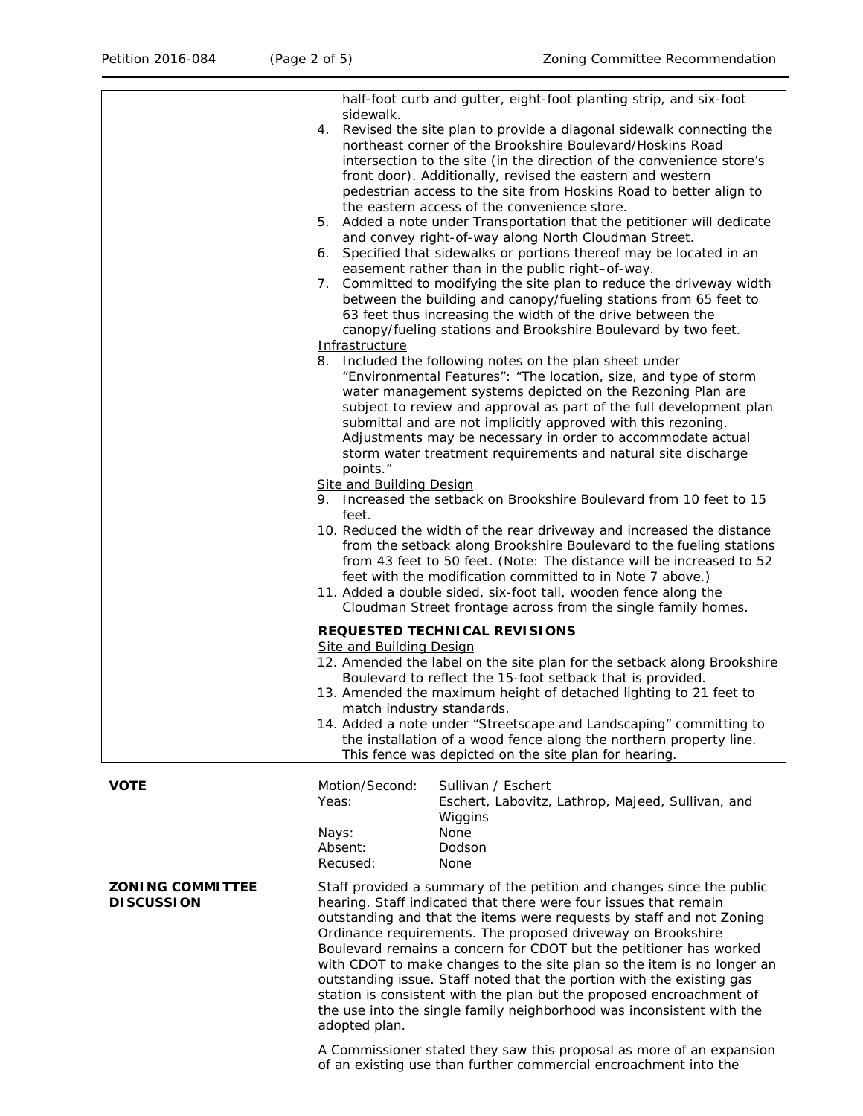|                                              | sidewalk.<br>4.<br>6.                                                                                                                                                                                                                                                                                                                                                                                                 | half-foot curb and gutter, eight-foot planting strip, and six-foot<br>Revised the site plan to provide a diagonal sidewalk connecting the<br>northeast corner of the Brookshire Boulevard/Hoskins Road<br>intersection to the site (in the direction of the convenience store's<br>front door). Additionally, revised the eastern and western<br>pedestrian access to the site from Hoskins Road to better align to<br>the eastern access of the convenience store.<br>5. Added a note under Transportation that the petitioner will dedicate<br>and convey right-of-way along North Cloudman Street.<br>Specified that sidewalks or portions thereof may be located in an<br>easement rather than in the public right-of-way. |  |
|----------------------------------------------|-----------------------------------------------------------------------------------------------------------------------------------------------------------------------------------------------------------------------------------------------------------------------------------------------------------------------------------------------------------------------------------------------------------------------|--------------------------------------------------------------------------------------------------------------------------------------------------------------------------------------------------------------------------------------------------------------------------------------------------------------------------------------------------------------------------------------------------------------------------------------------------------------------------------------------------------------------------------------------------------------------------------------------------------------------------------------------------------------------------------------------------------------------------------|--|
|                                              | Committed to modifying the site plan to reduce the driveway width<br>7.<br>between the building and canopy/fueling stations from 65 feet to<br>63 feet thus increasing the width of the drive between the<br>canopy/fueling stations and Brookshire Boulevard by two feet.<br>Infrastructure                                                                                                                          |                                                                                                                                                                                                                                                                                                                                                                                                                                                                                                                                                                                                                                                                                                                                |  |
|                                              | points."<br>feet.                                                                                                                                                                                                                                                                                                                                                                                                     | 8. Included the following notes on the plan sheet under<br>"Environmental Features": "The location, size, and type of storm<br>water management systems depicted on the Rezoning Plan are<br>subject to review and approval as part of the full development plan<br>submittal and are not implicitly approved with this rezoning.<br>Adjustments may be necessary in order to accommodate actual<br>storm water treatment requirements and natural site discharge<br><b>Site and Building Design</b><br>9. Increased the setback on Brookshire Boulevard from 10 feet to 15                                                                                                                                                    |  |
|                                              | 10. Reduced the width of the rear driveway and increased the distance<br>from the setback along Brookshire Boulevard to the fueling stations<br>from 43 feet to 50 feet. (Note: The distance will be increased to 52<br>feet with the modification committed to in Note 7 above.)<br>11. Added a double sided, six-foot tall, wooden fence along the<br>Cloudman Street frontage across from the single family homes. |                                                                                                                                                                                                                                                                                                                                                                                                                                                                                                                                                                                                                                                                                                                                |  |
|                                              | <b>Site and Building Design</b>                                                                                                                                                                                                                                                                                                                                                                                       | REQUESTED TECHNICAL REVISIONS<br>12. Amended the label on the site plan for the setback along Brookshire<br>Boulevard to reflect the 15-foot setback that is provided.<br>13. Amended the maximum height of detached lighting to 21 feet to<br>match industry standards.<br>14. Added a note under "Streetscape and Landscaping" committing to<br>the installation of a wood fence along the northern property line.<br>This fence was depicted on the site plan for hearing.                                                                                                                                                                                                                                                  |  |
| <b>VOTE</b>                                  | Motion/Second:<br>Yeas:<br>Nays:<br>Absent:<br>Recused:                                                                                                                                                                                                                                                                                                                                                               | Sullivan / Eschert<br>Eschert, Labovitz, Lathrop, Majeed, Sullivan, and<br>Wiggins<br>None<br>Dodson<br>None                                                                                                                                                                                                                                                                                                                                                                                                                                                                                                                                                                                                                   |  |
| <b>ZONING COMMITTEE</b><br><b>DISCUSSION</b> | adopted plan.                                                                                                                                                                                                                                                                                                                                                                                                         | Staff provided a summary of the petition and changes since the public<br>hearing. Staff indicated that there were four issues that remain<br>outstanding and that the items were requests by staff and not Zoning<br>Ordinance requirements. The proposed driveway on Brookshire<br>Boulevard remains a concern for CDOT but the petitioner has worked<br>with CDOT to make changes to the site plan so the item is no longer an<br>outstanding issue. Staff noted that the portion with the existing gas<br>station is consistent with the plan but the proposed encroachment of<br>the use into the single family neighborhood was inconsistent with the                                                                     |  |

A Commissioner stated they saw this proposal as more of an expansion of an existing use than further commercial encroachment into the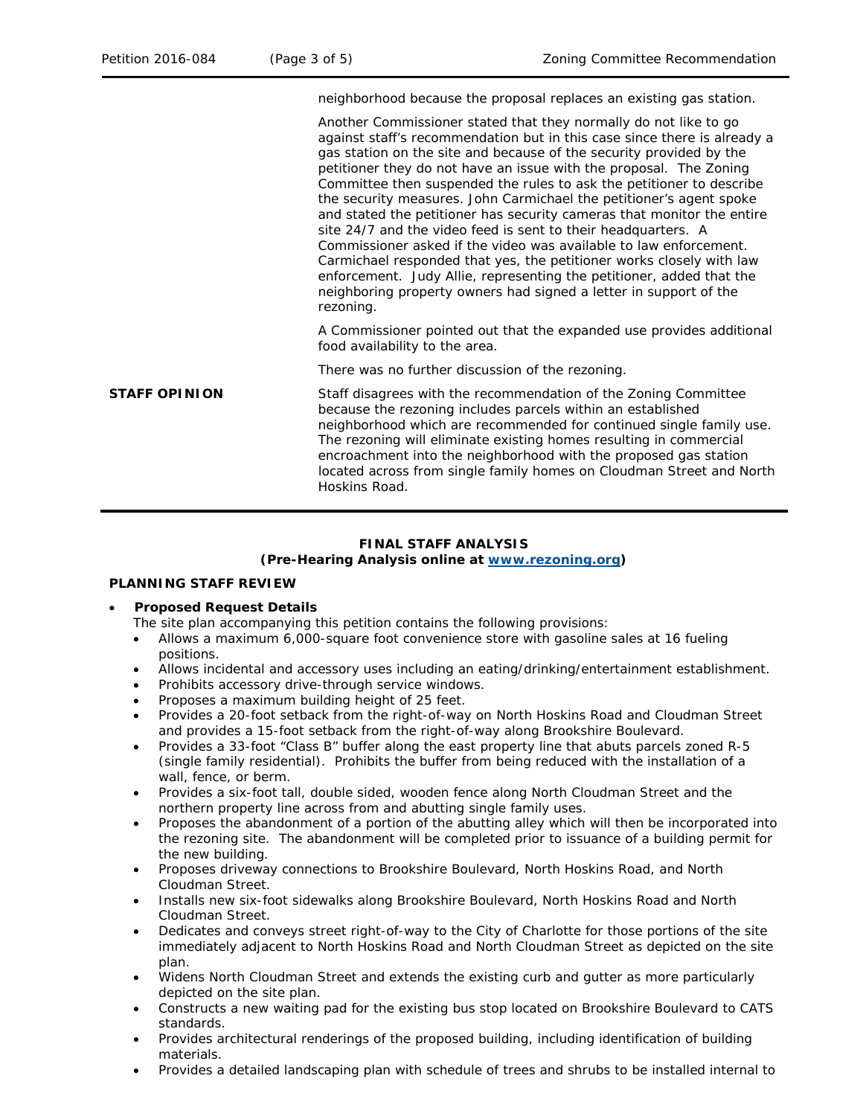neighborhood because the proposal replaces an existing gas station.

Another Commissioner stated that they normally do not like to go against staff's recommendation but in this case since there is already a gas station on the site and because of the security provided by the petitioner they do not have an issue with the proposal. The Zoning Committee then suspended the rules to ask the petitioner to describe the security measures. John Carmichael the petitioner's agent spoke and stated the petitioner has security cameras that monitor the entire site 24/7 and the video feed is sent to their headquarters. A Commissioner asked if the video was available to law enforcement. Carmichael responded that yes, the petitioner works closely with law enforcement. Judy Allie, representing the petitioner, added that the neighboring property owners had signed a letter in support of the rezoning.

A Commissioner pointed out that the expanded use provides additional food availability to the area.

There was no further discussion of the rezoning.

**STAFF OPINION** Staff disagrees with the recommendation of the Zoning Committee because the rezoning includes parcels within an established neighborhood which are recommended for continued single family use. The rezoning will eliminate existing homes resulting in commercial encroachment into the neighborhood with the proposed gas station located across from single family homes on Cloudman Street and North Hoskins Road.

# **FINAL STAFF ANALYSIS**

# **(Pre-Hearing Analysis online at [www.rezoning.org\)](http://www.rezoning.org/)**

# **PLANNING STAFF REVIEW**

## • **Proposed Request Details**

- The site plan accompanying this petition contains the following provisions:
- Allows a maximum 6,000-square foot convenience store with gasoline sales at 16 fueling positions.
- Allows incidental and accessory uses including an eating/drinking/entertainment establishment.
- Prohibits accessory drive-through service windows.
- Proposes a maximum building height of 25 feet.
- Provides a 20-foot setback from the right-of-way on North Hoskins Road and Cloudman Street and provides a 15-foot setback from the right-of-way along Brookshire Boulevard.
- Provides a 33-foot "Class B" buffer along the east property line that abuts parcels zoned R-5 (single family residential). Prohibits the buffer from being reduced with the installation of a wall, fence, or berm.
- Provides a six-foot tall, double sided, wooden fence along North Cloudman Street and the northern property line across from and abutting single family uses.
- Proposes the abandonment of a portion of the abutting alley which will then be incorporated into the rezoning site. The abandonment will be completed prior to issuance of a building permit for the new building.
- Proposes driveway connections to Brookshire Boulevard, North Hoskins Road, and North Cloudman Street.
- Installs new six-foot sidewalks along Brookshire Boulevard, North Hoskins Road and North Cloudman Street.
- Dedicates and conveys street right-of-way to the City of Charlotte for those portions of the site immediately adjacent to North Hoskins Road and North Cloudman Street as depicted on the site plan.
- Widens North Cloudman Street and extends the existing curb and gutter as more particularly depicted on the site plan.
- Constructs a new waiting pad for the existing bus stop located on Brookshire Boulevard to CATS standards.
- Provides architectural renderings of the proposed building, including identification of building materials.
- Provides a detailed landscaping plan with schedule of trees and shrubs to be installed internal to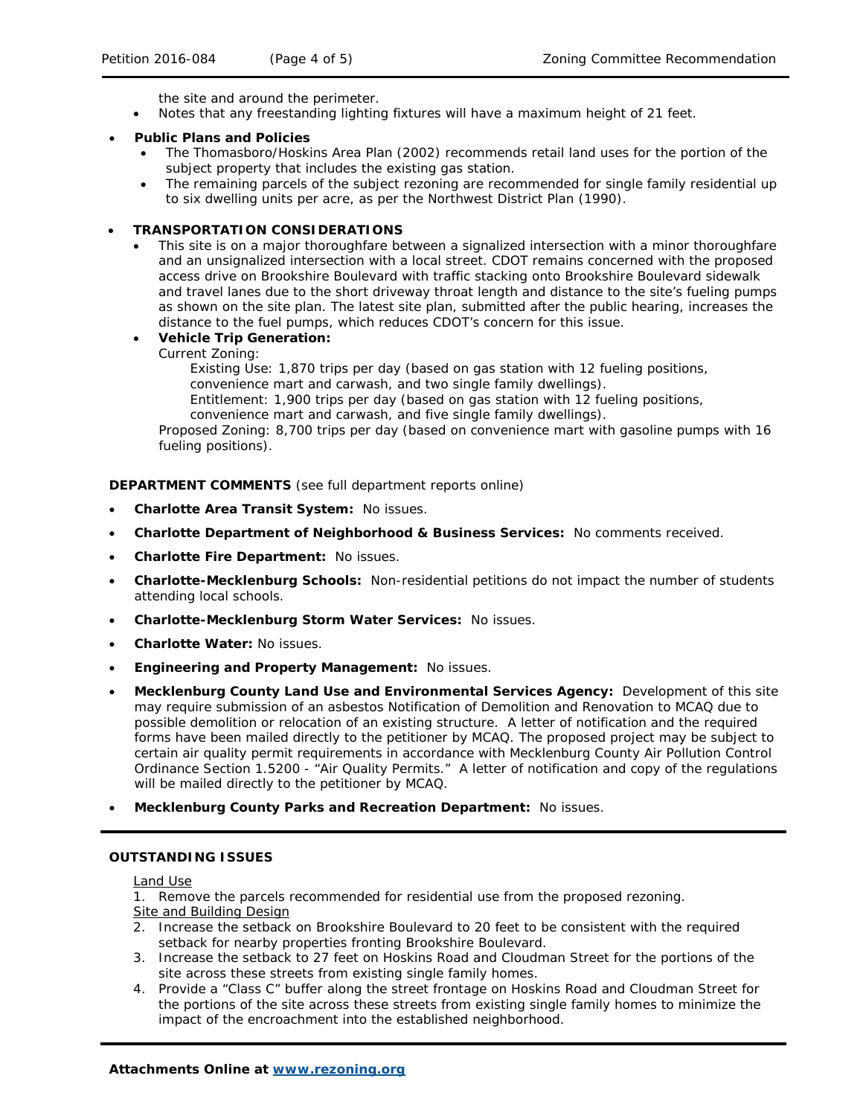the site and around the perimeter.

• Notes that any freestanding lighting fixtures will have a maximum height of 21 feet.

#### • **Public Plans and Policies**

- The *Thomasboro/Hoskins Area Plan* (2002) recommends retail land uses for the portion of the subject property that includes the existing gas station.
- The remaining parcels of the subject rezoning are recommended for single family residential up to six dwelling units per acre, as per the *Northwest District Plan* (1990).

#### • **TRANSPORTATION CONSIDERATIONS**

This site is on a major thoroughfare between a signalized intersection with a minor thoroughfare and an unsignalized intersection with a local street. CDOT remains concerned with the proposed access drive on Brookshire Boulevard with traffic stacking onto Brookshire Boulevard sidewalk and travel lanes due to the short driveway throat length and distance to the site's fueling pumps as shown on the site plan. The latest site plan, submitted after the public hearing, increases the distance to the fuel pumps, which reduces CDOT's concern for this issue.

# • **Vehicle Trip Generation:**

Current Zoning:

Existing Use: 1,870 trips per day (based on gas station with 12 fueling positions, convenience mart and carwash, and two single family dwellings).

- Entitlement: 1,900 trips per day (based on gas station with 12 fueling positions,
- convenience mart and carwash, and five single family dwellings).

Proposed Zoning: 8,700 trips per day (based on convenience mart with gasoline pumps with 16 fueling positions).

#### **DEPARTMENT COMMENTS** (see full department reports online)

- **Charlotte Area Transit System:** No issues.
- **Charlotte Department of Neighborhood & Business Services:** No comments received.
- **Charlotte Fire Department:** No issues.
- **Charlotte-Mecklenburg Schools:** Non-residential petitions do not impact the number of students attending local schools.
- **Charlotte-Mecklenburg Storm Water Services:** No issues.
- **Charlotte Water:** No issues.
- **Engineering and Property Management:** No issues.
- **Mecklenburg County Land Use and Environmental Services Agency:** Development of this site may require submission of an asbestos Notification of Demolition and Renovation to MCAQ due to possible demolition or relocation of an existing structure. A letter of notification and the required forms have been mailed directly to the petitioner by MCAQ. The proposed project may be subject to certain air quality permit requirements in accordance with Mecklenburg County Air Pollution Control Ordinance Section 1.5200 - "Air Quality Permits." A letter of notification and copy of the regulations will be mailed directly to the petitioner by MCAQ.
- **Mecklenburg County Parks and Recreation Department:** No issues.

## **OUTSTANDING ISSUES**

#### Land Use

1. Remove the parcels recommended for residential use from the proposed rezoning.

- Site and Building Design
- 2. Increase the setback on Brookshire Boulevard to 20 feet to be consistent with the required setback for nearby properties fronting Brookshire Boulevard.
- 3. Increase the setback to 27 feet on Hoskins Road and Cloudman Street for the portions of the site across these streets from existing single family homes.
- 4. Provide a "Class C" buffer along the street frontage on Hoskins Road and Cloudman Street for the portions of the site across these streets from existing single family homes to minimize the impact of the encroachment into the established neighborhood.